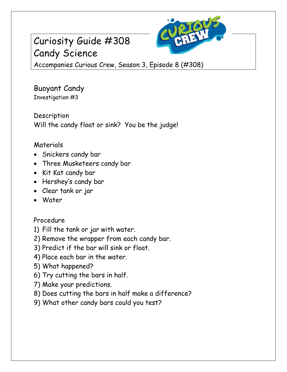# Curiosity Guide #308 Candy Science



Accompanies Curious Crew, Season 3, Episode 8 (#308)

Buoyant Candy Investigation #3

Description Will the candy float or sink? You be the judge!

### Materials

- Snickers candy bar
- Three Musketeers candy bar
- Kit Kat candy bar
- Hershey's candy bar
- Clear tank or jar
- Water

## Procedure

- 1) Fill the tank or jar with water.
- 2) Remove the wrapper from each candy bar.
- 3) Predict if the bar will sink or float.
- 4) Place each bar in the water.
- 5) What happened?
- 6) Try cutting the bars in half.
- 7) Make your predictions.
- 8) Does cutting the bars in half make a difference?
- 9) What other candy bars could you test?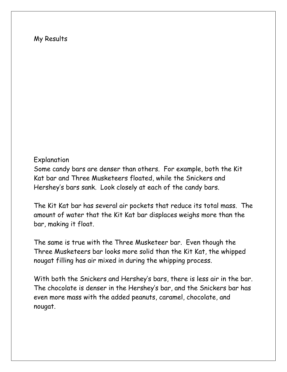#### My Results

#### Explanation

Some candy bars are denser than others. For example, both the Kit Kat bar and Three Musketeers floated, while the Snickers and Hershey's bars sank. Look closely at each of the candy bars.

The Kit Kat bar has several air pockets that reduce its total mass. The amount of water that the Kit Kat bar displaces weighs more than the bar, making it float.

The same is true with the Three Musketeer bar. Even though the Three Musketeers bar looks more solid than the Kit Kat, the whipped nougat filling has air mixed in during the whipping process.

With both the Snickers and Hershey's bars, there is less air in the bar. The chocolate is denser in the Hershey's bar, and the Snickers bar has even more mass with the added peanuts, caramel, chocolate, and nougat.